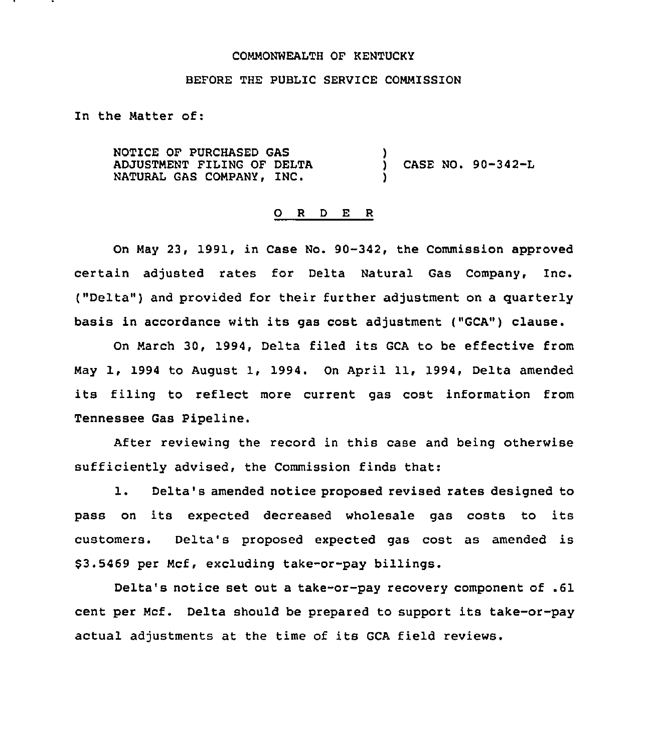### COMMONWEALTH OF KENTUCKY

### BEFORE THE PUBLIC SERVICE COMMISSION

In the Matter of:

NOTICE OF PURCHASED GAS ADJUSTMENT FILING OF DELTA NATURAL GAS COMPANY, INC.

) CASE NO. 90-342-L

### 0 <sup>R</sup> <sup>D</sup> E <sup>R</sup>

)

)

On May 23, 1991, in Case No. 90-342, the Commission approved certain adjusted rates for Delta Natural Gas Company, Inc. ("Delta") and provided for their further adjustment on a quarterly basis in accordance with its gas cost adjustment ("GCA") clause.

On March 30, 1994, Delta filed its GCA to be effective from May 1, 1994 to August 1, 1994. On April 11, 1994, Delta amended its filing to reflect more current gas cost information from Tennessee Gas Pipeline.

After reviewing the record in this case and being otherwise sufficiently advised, the Commission finds that:

1. Delta's amended notice proposed revised rates designed to pass on its expected decreased wholesale gas costs to its customers. Delta's proposed expected gas cost as amended is \$ 3.5469 per Mcf, excluding take-or-pay billings.

Delta's notice set out a take-or-pay recovery component of .61 cent per Mcf. Delta should be prepared to support its take-or-pay actual adjustments at the time of its GCA field reviews.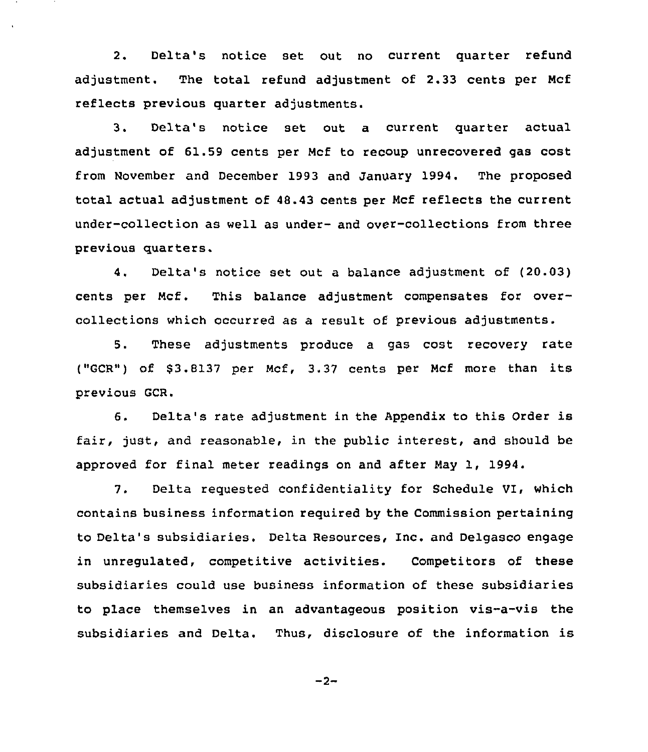2. Delta's notice set out no current quarter refund adjustment. The total refund adjustment of 2.33 cents per Ncf reflects previous quarter adjustments.

3. Delta's notice set out a current quarter actual adjustment of 61.59 cents per Ncf to recoup unrecovered gas cost from November and December 1993 and January 1994. The proposed total actual adjustment of 48.43 cents per Ncf reflects the current under-collection as well as under- and over-collections from three previous quarters.

4. Delta's notice set out a balance adjustment of (20.03) cents per Ncf. This balance adjustment compensates for overcollections which occurred as a result of previous adjustments.

5. These adjustments produce a gas cost recovery rate ("GCR") of \$3.8137 per Mcf, 3.37 cents per Mcf more than its previous GCR.

6. Delta's rate adjustment in the Appendix to this Order is fair, just, and reasonable, in the public interest, and should be approved for final meter readings on and after Nay 1, 1994.

7. Delta requested confidentiality for Schedule VI, which contains business information required by the Commission pertaining to Delta's subsidiaries. Delta Resources, Inc. and Delgasco engage in unregulated, competitive activities. Competitors of these subsidiaries could use business information of these subsidiaries to place themselves in an advantageous position vis-a-vis the subsidiaries and Delta. Thus, disclosure of the information is

 $-2-$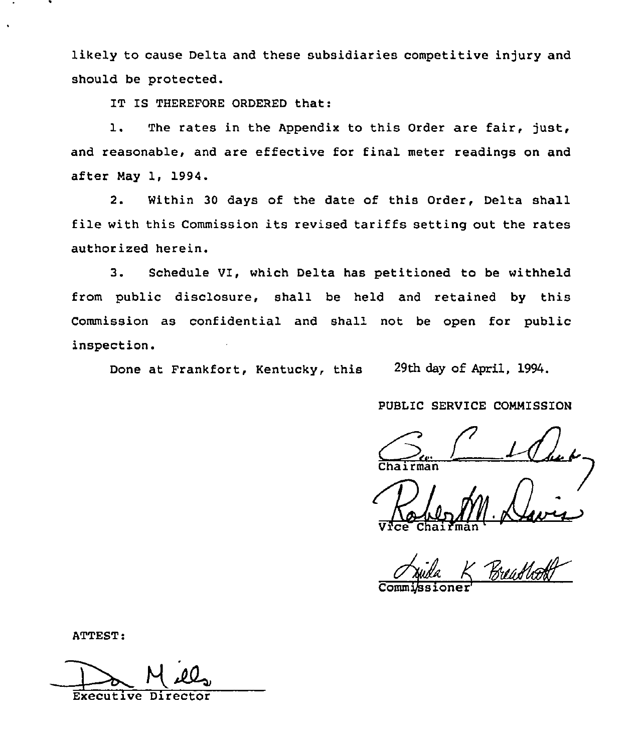likely to cause Delta and these subsidiaries competitive injury and should be protected.

IT IS THEREFORE ORDERED that:

1. The rates in the Appendix to this Order are fair, just, and reasonable, and are effective for final meter readings on and after May 1, 1994.

2. Within 30 days of the date of this Order, Delta shall file with this Commission its revised tariffs setting out the rates authorized herein.

3. Schedule VI, which Delta has petitioned to be withheld from public disclosure, shall be held and retained by this Commission as confidential and shall not be open for public inspection.

Done at Frankfort, Kentucky, this 29th day of April, 1994.

PUBLIC SERVICE COMMISSION

 $\mathcal{C}_{\mathcal{C}}$ 

Vice Chairma

ATTEST:

Executive Directo H.M